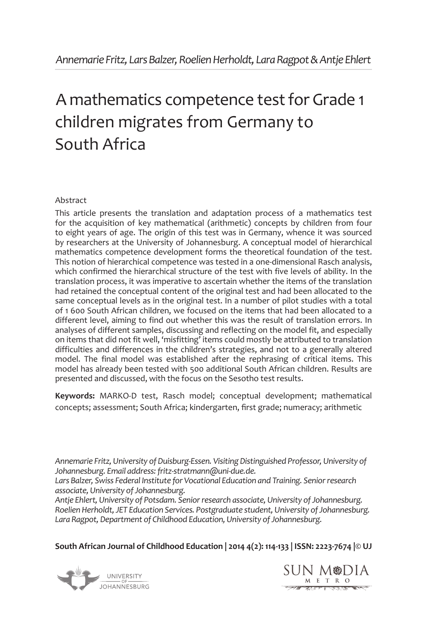# A mathematics competence test for Grade 1 children migrates from Germany to South Africa

### Abstract

This article presents the translation and adaptation process of a mathematics test for the acquisition of key mathematical (arithmetic) concepts by children from four to eight years of age. The origin of this test was in Germany, whence it was sourced by researchers at the University of Johannesburg. A conceptual model of hierarchical mathematics competence development forms the theoretical foundation of the test. This notion of hierarchical competence was tested in a one-dimensional Rasch analysis, which confirmed the hierarchical structure of the test with five levels of ability. In the translation process, it was imperative to ascertain whether the items of the translation had retained the conceptual content of the original test and had been allocated to the same conceptual levels as in the original test. In a number of pilot studies with a total of 1 600 South African children, we focused on the items that had been allocated to a different level, aiming to find out whether this was the result of translation errors. In analyses of different samples, discussing and reflecting on the model fit, and especially on items that did not fit well, 'misfitting' items could mostly be attributed to translation difficulties and differences in the children's strategies, and not to a generally altered model. The final model was established after the rephrasing of critical items. This model has already been tested with 500 additional South African children. Results are presented and discussed, with the focus on the Sesotho test results.

**Keywords:** MARKO-D test, Rasch model; conceptual development; mathematical concepts; assessment; South Africa; kindergarten, first grade; numeracy; arithmetic

*Annemarie Fritz, University of Duisburg-Essen. Visiting Distinguished Professor, University of Johannesburg. Email address: fritz-stratmann@uni-due.de.* 

*Lars Balzer, Swiss Federal Institute for Vocational Education and Training. Senior research associate, University of Johannesburg.* 

*Antje Ehlert, University of Potsdam. Senior research associate, University of Johannesburg. Roelien Herholdt, JET Education Services. Postgraduate student, University of Johannesburg. Lara Ragpot, Department of Childhood Education, University of Johannesburg.*

**South African Journal of Childhood Education | 2014 4(2): 114-133 | ISSN: 2223-7674 |© UJ**



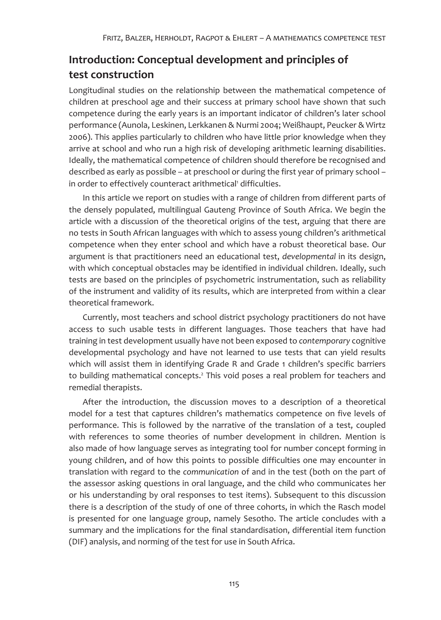# **Introduction: Conceptual development and principles of test construction**

Longitudinal studies on the relationship between the mathematical competence of children at preschool age and their success at primary school have shown that such competence during the early years is an important indicator of children's later school performance (Aunola, Leskinen, Lerkkanen & Nurmi 2004; Weißhaupt, Peucker & Wirtz 2006). This applies particularly to children who have little prior knowledge when they arrive at school and who run a high risk of developing arithmetic learning disabilities. Ideally, the mathematical competence of children should therefore be recognised and described as early as possible – at preschool or during the first year of primary school – in order to effectively counteract arithmetical<sup>1</sup> difficulties.

In this article we report on studies with a range of children from different parts of the densely populated, multilingual Gauteng Province of South Africa. We begin the article with a discussion of the theoretical origins of the test, arguing that there are no tests in South African languages with which to assess young children's arithmetical competence when they enter school and which have a robust theoretical base. Our argument is that practitioners need an educational test, *developmental* in its design, with which conceptual obstacles may be identified in individual children. Ideally, such tests are based on the principles of psychometric instrumentation, such as reliability of the instrument and validity of its results, which are interpreted from within a clear theoretical framework.

Currently, most teachers and school district psychology practitioners do not have access to such usable tests in different languages. Those teachers that have had training in test development usually have not been exposed to *contemporary* cognitive developmental psychology and have not learned to use tests that can yield results which will assist them in identifying Grade R and Grade 1 children's specific barriers to building mathematical concepts.<sup>2</sup> This void poses a real problem for teachers and remedial therapists.

After the introduction, the discussion moves to a description of a theoretical model for a test that captures children's mathematics competence on five levels of performance. This is followed by the narrative of the translation of a test, coupled with references to some theories of number development in children. Mention is also made of how language serves as integrating tool for number concept forming in young children, and of how this points to possible difficulties one may encounter in translation with regard to the *communication* of and in the test (both on the part of the assessor asking questions in oral language, and the child who communicates her or his understanding by oral responses to test items). Subsequent to this discussion there is a description of the study of one of three cohorts, in which the Rasch model is presented for one language group, namely Sesotho. The article concludes with a summary and the implications for the final standardisation, differential item function (DIF) analysis, and norming of the test for use in South Africa.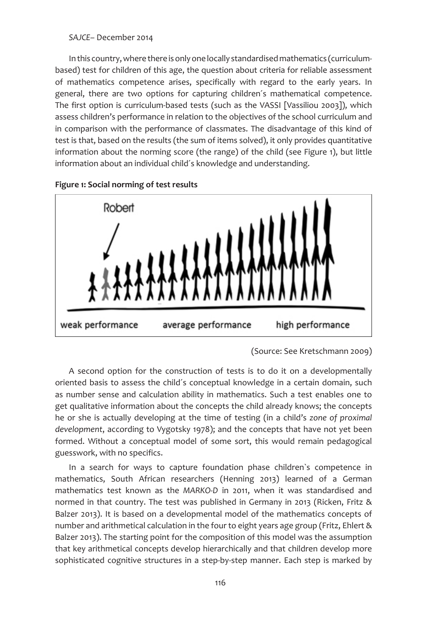In this country, where there is only one locally standardised mathematics (curriculumbased) test for children of this age, the question about criteria for reliable assessment of mathematics competence arises, specifically with regard to the early years. In general, there are two options for capturing children´s mathematical competence. The first option is curriculum-based tests (such as the VASSI [Vassiliou 2003]), which assess children's performance in relation to the objectives of the school curriculum and in comparison with the performance of classmates. The disadvantage of this kind of test is that, based on the results (the sum of items solved), it only provides quantitative information about the norming score (the range) of the child (see Figure 1), but little information about an individual child´s knowledge and understanding.



#### **Figure 1: Social norming of test results**

(Source: See Kretschmann 2009)

A second option for the construction of tests is to do it on a developmentally oriented basis to assess the child´s conceptual knowledge in a certain domain, such as number sense and calculation ability in mathematics. Such a test enables one to get qualitative information about the concepts the child already knows; the concepts he or she is actually developing at the time of testing (in a child's *zone of proximal development*, according to Vygotsky 1978); and the concepts that have not yet been formed. Without a conceptual model of some sort, this would remain pedagogical guesswork, with no specifics.

In a search for ways to capture foundation phase children`s competence in mathematics, South African researchers (Henning 2013) learned of a German mathematics test known as the *MARKO-D* in 2011, when it was standardised and normed in that country. The test was published in Germany in 2013 (Ricken, Fritz & Balzer 2013). It is based on a developmental model of the mathematics concepts of number and arithmetical calculation in the four to eight years age group (Fritz, Ehlert & Balzer 2013). The starting point for the composition of this model was the assumption that key arithmetical concepts develop hierarchically and that children develop more sophisticated cognitive structures in a step-by-step manner. Each step is marked by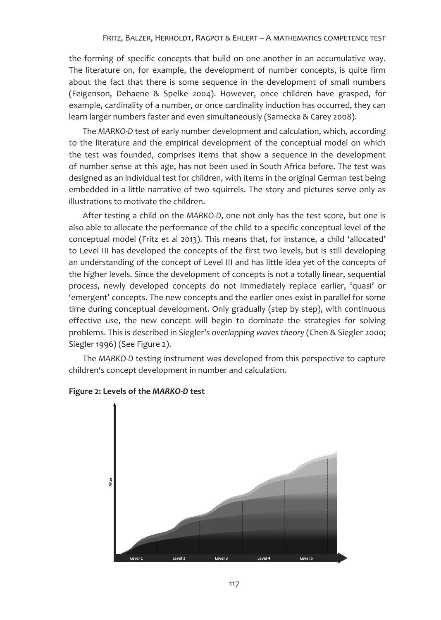the forming of specific concepts that build on one another in an accumulative way. The literature on, for example, the development of number concepts, is quite firm about the fact that there is some sequence in the development of small numbers (Feigenson, Dehaene & Spelke 2004). However, once children have grasped, for example, cardinality of a number, or once cardinality induction has occurred, they can learn larger numbers faster and even simultaneously (Sarnecka & Carey 2008).

The *MARKO-D* test of early number development and calculation, which, according to the literature and the empirical development of the conceptual model on which the test was founded, comprises items that show a sequence in the development of number sense at this age, has not been used in South Africa before. The test was designed as an individual test for children, with items in the original German test being embedded in a little narrative of two squirrels. The story and pictures serve only as illustrations to motivate the children.

After testing a child on the *MARKO-D*, one not only has the test score, but one is also able to allocate the performance of the child to a specific conceptual level of the conceptual model (Fritz et al 2013). This means that, for instance, a child 'allocated' to Level III has developed the concepts of the first two levels, but is still developing an understanding of the concept of Level III and has little idea yet of the concepts of the higher levels. Since the development of concepts is not a totally linear, sequential process, newly developed concepts do not immediately replace earlier, 'quasi' or 'emergent' concepts. The new concepts and the earlier ones exist in parallel for some time during conceptual development. Only gradually (step by step), with continuous effective use, the new concept will begin to dominate the strategies for solving problems. This is described in Siegler's *overlapping waves theory* (Chen & Siegler 2000; Siegler 1996) (See Figure 2).

The *MARKO-D* testing instrument was developed from this perspective to capture children's concept development in number and calculation.



#### **Figure 2: Levels of the** *MARKO-D* **test**

117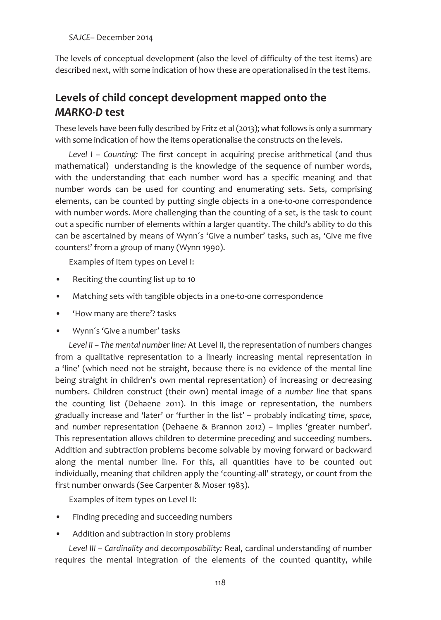The levels of conceptual development (also the level of difficulty of the test items) are described next, with some indication of how these are operationalised in the test items.

# **Levels of child concept development mapped onto the**  *MARKO-D* **test**

These levels have been fully described by Fritz et al (2013); what follows is only a summary with some indication of how the items operationalise the constructs on the levels.

*Level I – Counting:* The first concept in acquiring precise arithmetical (and thus mathematical) understanding is the knowledge of the sequence of number words, with the understanding that each number word has a specific meaning and that number words can be used for counting and enumerating sets. Sets, comprising elements, can be counted by putting single objects in a one-to-one correspondence with number words. More challenging than the counting of a set, is the task to count out a specific number of elements within a larger quantity. The child's ability to do this can be ascertained by means of Wynn´s 'Give a number' tasks, such as, 'Give me five counters!' from a group of many (Wynn 1990).

Examples of item types on Level I:

- Reciting the counting list up to 10
- Matching sets with tangible objects in a one-to-one correspondence
- 'How many are there'? tasks
- Wynn´s 'Give a number' tasks

*Level II – The mental number line:* At Level II, the representation of numbers changes from a qualitative representation to a linearly increasing mental representation in a 'line' (which need not be straight, because there is no evidence of the mental line being straight in children's own mental representation) of increasing or decreasing numbers. Children construct (their own) mental image of a *number line* that spans the counting list (Dehaene 2011). In this image or representation, the numbers gradually increase and 'later' or 'further in the list' – probably indicating *time*, *space,* and *number* representation (Dehaene & Brannon 2012) – implies 'greater number'. This representation allows children to determine preceding and succeeding numbers. Addition and subtraction problems become solvable by moving forward or backward along the mental number line. For this, all quantities have to be counted out individually, meaning that children apply the 'counting-all' strategy, or count from the first number onwards (See Carpenter & Moser 1983).

Examples of item types on Level II:

- Finding preceding and succeeding numbers
- Addition and subtraction in story problems

*Level III – Cardinality and decomposability:* Real, cardinal understanding of number requires the mental integration of the elements of the counted quantity, while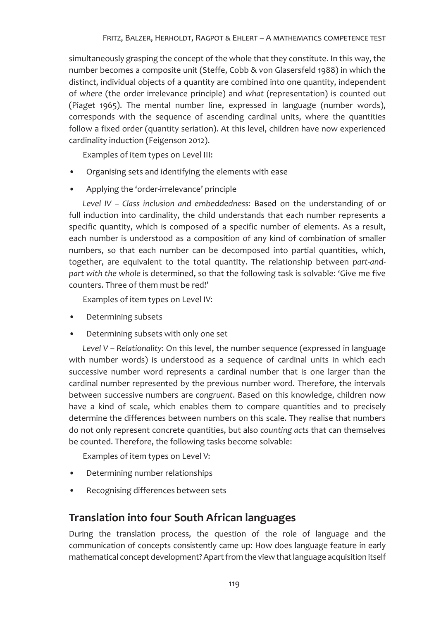simultaneously grasping the concept of the whole that they constitute. In this way, the number becomes a composite unit (Steffe, Cobb & von Glasersfeld 1988) in which the distinct, individual objects of a quantity are combined into one quantity, independent of *where* (the order irrelevance principle) and *what* (representation) is counted out (Piaget 1965). The mental number line, expressed in language (number words), corresponds with the sequence of ascending cardinal units, where the quantities follow a fixed order (quantity seriation). At this level, children have now experienced cardinality induction (Feigenson 2012).

Examples of item types on Level III:

- Organising sets and identifying the elements with ease
- Applying the 'order-irrelevance' principle

*Level IV – Class inclusion and embeddedness:* Based on the understanding of or full induction into cardinality, the child understands that each number represents a specific quantity, which is composed of a specific number of elements. As a result, each number is understood as a composition of any kind of combination of smaller numbers, so that each number can be decomposed into partial quantities, which, together, are equivalent to the total quantity. The relationship between *part-andpart with the whole* is determined, so that the following task is solvable: 'Give me five counters. Three of them must be red!'

Examples of item types on Level IV:

- Determining subsets
- Determining subsets with only one set

*Level V – Relationality:* On this level, the number sequence (expressed in language with number words) is understood as a sequence of cardinal units in which each successive number word represents a cardinal number that is one larger than the cardinal number represented by the previous number word. Therefore, the intervals between successive numbers are *congruent*. Based on this knowledge, children now have a kind of scale, which enables them to compare quantities and to precisely determine the differences between numbers on this scale. They realise that numbers do not only represent concrete quantities, but also *counting acts* that can themselves be counted. Therefore, the following tasks become solvable:

Examples of item types on Level V:

- Determining number relationships
- Recognising differences between sets

# **Translation into four South African languages**

During the translation process, the question of the role of language and the communication of concepts consistently came up: How does language feature in early mathematical concept development? Apart from the view that language acquisition itself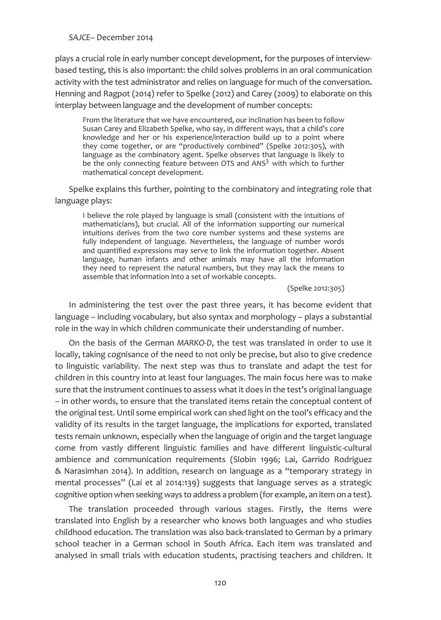plays a crucial role in early number concept development, for the purposes of interviewbased testing, this is also important: the child solves problems in an oral communication activity with the test administrator and relies on language for much of the conversation. Henning and Ragpot (2014) refer to Spelke (2012) and Carey (2009) to elaborate on this interplay between language and the development of number concepts:

From the literature that we have encountered, our inclination has been to follow Susan Carey and Elizabeth Spelke, who say, in different ways, that a child's core knowledge and her or his experience/interaction build up to a point where they come together, or are "productively combined" (Spelke 2012:305), with language as the combinatory agent. Spelke observes that language is likely to be the only connecting feature between OTS and ANS<sup>3</sup> with which to further mathematical concept development.

Spelke explains this further, pointing to the combinatory and integrating role that language plays:

I believe the role played by language is small (consistent with the intuitions of mathematicians), but crucial. All of the information supporting our numerical intuitions derives from the two core number systems and these systems are fully independent of language. Nevertheless, the language of number words and quantified expressions may serve to link the information together. Absent language, human infants and other animals may have all the information they need to represent the natural numbers, but they may lack the means to assemble that information into a set of workable concepts.

(Spelke 2012:305)

In administering the test over the past three years, it has become evident that language – including vocabulary, but also syntax and morphology – plays a substantial role in the way in which children communicate their understanding of number.

On the basis of the German *MARKO-D*, the test was translated in order to use it locally, taking cognisance of the need to not only be precise, but also to give credence to linguistic variability. The next step was thus to translate and adapt the test for children in this country into at least four languages. The main focus here was to make sure that the instrument continues to assess what it does in the test's original language – in other words, to ensure that the translated items retain the conceptual content of the original test. Until some empirical work can shed light on the tool's efficacy and the validity of its results in the target language, the implications for exported, translated tests remain unknown, especially when the language of origin and the target language come from vastly different linguistic families and have different linguistic-cultural ambience and communication requirements (Slobin 1996; Lai, Garrido Rodriguez & Narasimhan 2014). In addition, research on language as a "temporary strategy in mental processes" (Lai et al 2014:139) suggests that language serves as a strategic cognitive option when seeking ways to address a problem (for example, an item on a test).

The translation proceeded through various stages. Firstly, the items were translated into English by a researcher who knows both languages and who studies childhood education. The translation was also back-translated to German by a primary school teacher in a German school in South Africa. Each item was translated and analysed in small trials with education students, practising teachers and children. It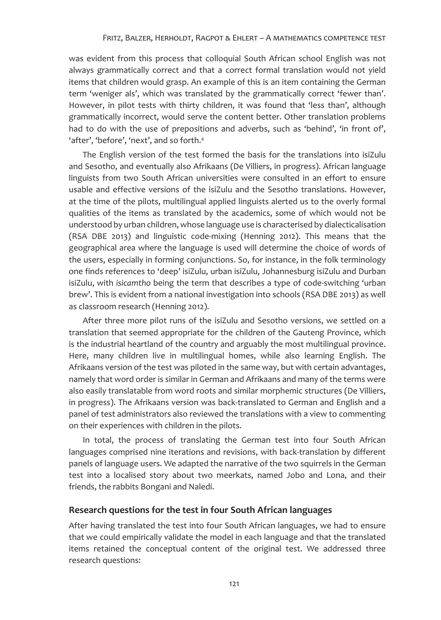was evident from this process that colloquial South African school English was not always grammatically correct and that a correct formal translation would not yield items that children would grasp. An example of this is an item containing the German term 'weniger als', which was translated by the grammatically correct 'fewer than'. However, in pilot tests with thirty children, it was found that 'less than', although grammatically incorrect, would serve the content better. Other translation problems had to do with the use of prepositions and adverbs, such as 'behind', 'in front of', 'after', 'before', 'next', and so forth.4

The English version of the test formed the basis for the translations into isiZulu and Sesotho, and eventually also Afrikaans (De Villiers, in progress). African language linguists from two South African universities were consulted in an effort to ensure usable and effective versions of the isiZulu and the Sesotho translations. However, at the time of the pilots, multilingual applied linguists alerted us to the overly formal qualities of the items as translated by the academics, some of which would not be understood by urban children, whose language use is characterised by dialecticalisation (RSA DBE 2013) and linguistic code-mixing (Henning 2012). This means that the geographical area where the language is used will determine the choice of words of the users, especially in forming conjunctions. So, for instance, in the folk terminology one finds references to 'deep' isiZulu, urban isiZulu, Johannesburg isiZulu and Durban isiZulu, with *isicamtho* being the term that describes a type of code-switching 'urban brew'. This is evident from a national investigation into schools (RSA DBE 2013) as well as classroom research (Henning 2012).

After three more pilot runs of the isiZulu and Sesotho versions, we settled on a translation that seemed appropriate for the children of the Gauteng Province, which is the industrial heartland of the country and arguably the most multilingual province. Here, many children live in multilingual homes, while also learning English. The Afrikaans version of the test was piloted in the same way, but with certain advantages, namely that word order is similar in German and Afrikaans and many of the terms were also easily translatable from word roots and similar morphemic structures (De Villiers, in progress). The Afrikaans version was back-translated to German and English and a panel of test administrators also reviewed the translations with a view to commenting on their experiences with children in the pilots.

In total, the process of translating the German test into four South African languages comprised nine iterations and revisions, with back-translation by different panels of language users. We adapted the narrative of the two squirrels in the German test into a localised story about two meerkats, named Jobo and Lona, and their friends, the rabbits Bongani and Naledi.

#### **Research questions for the test in four South African languages**

After having translated the test into four South African languages, we had to ensure that we could empirically validate the model in each language and that the translated items retained the conceptual content of the original test. We addressed three research questions: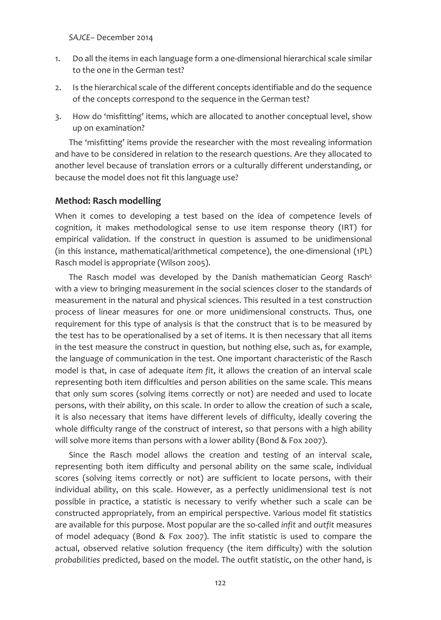- 1. Do all the items in each language form a one-dimensional hierarchical scale similar to the one in the German test?
- 2. Is the hierarchical scale of the different concepts identifiable and do the sequence of the concepts correspond to the sequence in the German test?
- 3. How do 'misfitting' items, which are allocated to another conceptual level, show up on examination?

The 'misfitting' items provide the researcher with the most revealing information and have to be considered in relation to the research questions. Are they allocated to another level because of translation errors or a culturally different understanding, or because the model does not fit this language use?

#### **Method: Rasch modelling**

When it comes to developing a test based on the idea of competence levels of cognition, it makes methodological sense to use item response theory (IRT) for empirical validation. If the construct in question is assumed to be unidimensional (in this instance, mathematical/arithmetical competence), the one-dimensional (1PL) Rasch model is appropriate (Wilson 2005).

The Rasch model was developed by the Danish mathematician Georg Rasch<sup>5</sup> with a view to bringing measurement in the social sciences closer to the standards of measurement in the natural and physical sciences. This resulted in a test construction process of linear measures for one or more unidimensional constructs. Thus, one requirement for this type of analysis is that the construct that is to be measured by the test has to be operationalised by a set of items. It is then necessary that all items in the test measure the construct in question, but nothing else, such as, for example, the language of communication in the test. One important characteristic of the Rasch model is that, in case of adequate *item fit*, it allows the creation of an interval scale representing both item difficulties and person abilities on the same scale. This means that only sum scores (solving items correctly or not) are needed and used to locate persons, with their ability, on this scale. In order to allow the creation of such a scale, it is also necessary that items have different levels of difficulty, ideally covering the whole difficulty range of the construct of interest, so that persons with a high ability will solve more items than persons with a lower ability (Bond & Fox 2007).

Since the Rasch model allows the creation and testing of an interval scale, representing both item difficulty and personal ability on the same scale, individual scores (solving items correctly or not) are sufficient to locate persons, with their individual ability, on this scale. However, as a perfectly unidimensional test is not possible in practice, a statistic is necessary to verify whether such a scale can be constructed appropriately, from an empirical perspective. Various model fit statistics are available for this purpose. Most popular are the so-called *infit* and *outfit* measures of model adequacy (Bond & Fox 2007). The infit statistic is used to compare the actual, observed relative solution frequency (the item difficulty) with the solution *probabilities* predicted, based on the model. The outfit statistic, on the other hand, is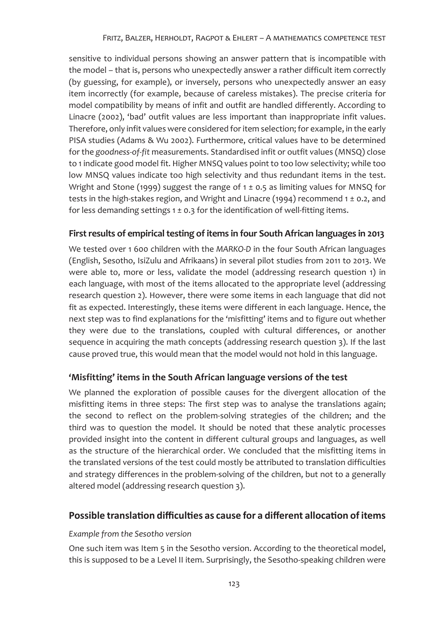sensitive to individual persons showing an answer pattern that is incompatible with the model – that is, persons who unexpectedly answer a rather difficult item correctly (by guessing, for example), or inversely, persons who unexpectedly answer an easy item incorrectly (for example, because of careless mistakes). The precise criteria for model compatibility by means of infit and outfit are handled differently. According to Linacre (2002), 'bad' outfit values are less important than inappropriate infit values. Therefore, only infit values were considered for item selection; for example, in the early PISA studies (Adams & Wu 2002). Furthermore, critical values have to be determined for the *goodness-of-fit* measurements. Standardised infit or outfit values (MNSQ) close to 1 indicate good model fit. Higher MNSQ values point to too low selectivity; while too low MNSQ values indicate too high selectivity and thus redundant items in the test. Wright and Stone (1999) suggest the range of  $1 \pm 0.5$  as limiting values for MNSO for tests in the high-stakes region, and Wright and Linacre (1994) recommend 1 ± 0.2, and for less demanding settings  $1 \pm 0.3$  for the identification of well-fitting items.

### **First results of empirical testing of items in four South African languages in 2013**

We tested over 1 600 children with the *MARKO-D* in the four South African languages (English, Sesotho, IsiZulu and Afrikaans) in several pilot studies from 2011 to 2013. We were able to, more or less, validate the model (addressing research question 1) in each language, with most of the items allocated to the appropriate level (addressing research question 2). However, there were some items in each language that did not fit as expected. Interestingly, these items were different in each language. Hence, the next step was to find explanations for the 'misfitting' items and to figure out whether they were due to the translations, coupled with cultural differences, or another sequence in acquiring the math concepts (addressing research question 3). If the last cause proved true, this would mean that the model would not hold in this language.

### **'Misfitting' items in the South African language versions of the test**

We planned the exploration of possible causes for the divergent allocation of the misfitting items in three steps: The first step was to analyse the translations again; the second to reflect on the problem-solving strategies of the children; and the third was to question the model. It should be noted that these analytic processes provided insight into the content in different cultural groups and languages, as well as the structure of the hierarchical order. We concluded that the misfitting items in the translated versions of the test could mostly be attributed to translation difficulties and strategy differences in the problem-solving of the children, but not to a generally altered model (addressing research question 3).

### **Possible translation difficulties as cause for a different allocation of items**

### *Example from the Sesotho version*

One such item was Item 5 in the Sesotho version. According to the theoretical model, this is supposed to be a Level II item. Surprisingly, the Sesotho-speaking children were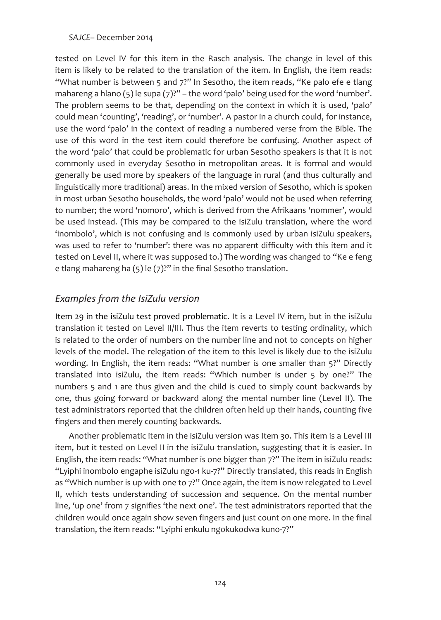tested on Level IV for this item in the Rasch analysis. The change in level of this item is likely to be related to the translation of the item. In English, the item reads: "What number is between 5 and 7?" In Sesotho, the item reads, "Ke palo efe e tlang mahareng a hlano (5) le supa (7)?" – the word 'palo' being used for the word 'number'. The problem seems to be that, depending on the context in which it is used, 'palo' could mean 'counting', 'reading', or 'number'. A pastor in a church could, for instance, use the word 'palo' in the context of reading a numbered verse from the Bible. The use of this word in the test item could therefore be confusing. Another aspect of the word 'palo' that could be problematic for urban Sesotho speakers is that it is not commonly used in everyday Sesotho in metropolitan areas. It is formal and would generally be used more by speakers of the language in rural (and thus culturally and linguistically more traditional) areas. In the mixed version of Sesotho, which is spoken in most urban Sesotho households, the word 'palo' would not be used when referring to number; the word 'nomoro', which is derived from the Afrikaans 'nommer', would be used instead. (This may be compared to the isiZulu translation, where the word 'inombolo', which is not confusing and is commonly used by urban isiZulu speakers, was used to refer to 'number': there was no apparent difficulty with this item and it tested on Level II, where it was supposed to.) The wording was changed to "Ke e feng e tlang mahareng ha (5) le (7)?" in the final Sesotho translation.

# *Examples from the IsiZulu version*

Item 29 in the isiZulu test proved problematic. It is a Level IV item, but in the isiZulu translation it tested on Level II/III. Thus the item reverts to testing ordinality, which is related to the order of numbers on the number line and not to concepts on higher levels of the model. The relegation of the item to this level is likely due to the isiZulu wording. In English, the item reads: "What number is one smaller than 5?" Directly translated into isiZulu, the item reads: "Which number is under 5 by one?" The numbers 5 and 1 are thus given and the child is cued to simply count backwards by one, thus going forward or backward along the mental number line (Level II). The test administrators reported that the children often held up their hands, counting five fingers and then merely counting backwards.

Another problematic item in the isiZulu version was Item 30. This item is a Level III item, but it tested on Level II in the isiZulu translation, suggesting that it is easier. In English, the item reads: "What number is one bigger than 7?" The item in isiZulu reads: "Lyiphi inombolo engaphe isiZulu ngo-1 ku-7?" Directly translated, this reads in English as "Which number is up with one to 7?" Once again, the item is now relegated to Level II, which tests understanding of succession and sequence. On the mental number line, 'up one' from 7 signifies 'the next one'. The test administrators reported that the children would once again show seven fingers and just count on one more. In the final translation, the item reads: "Lyiphi enkulu ngokukodwa kuno-7?"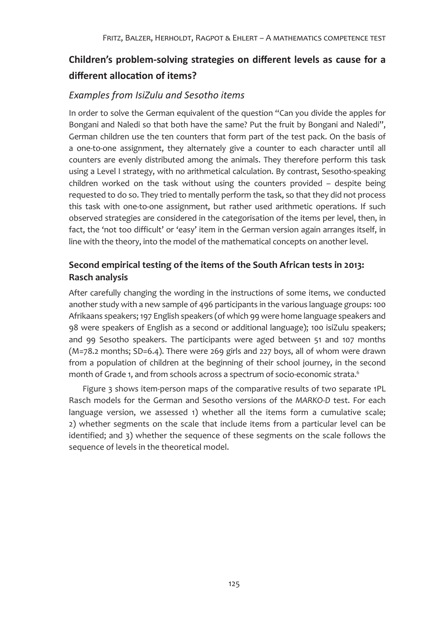# **Children's problem-solving strategies on different levels as cause for a different allocation of items?**

# *Examples from IsiZulu and Sesotho items*

In order to solve the German equivalent of the question "Can you divide the apples for Bongani and Naledi so that both have the same? Put the fruit by Bongani and Naledi", German children use the ten counters that form part of the test pack. On the basis of a one-to-one assignment, they alternately give a counter to each character until all counters are evenly distributed among the animals. They therefore perform this task using a Level I strategy, with no arithmetical calculation. By contrast, Sesotho-speaking children worked on the task without using the counters provided – despite being requested to do so. They tried to mentally perform the task, so that they did not process this task with one-to-one assignment, but rather used arithmetic operations. If such observed strategies are considered in the categorisation of the items per level, then, in fact, the 'not too difficult' or 'easy' item in the German version again arranges itself, in line with the theory, into the model of the mathematical concepts on another level.

## **Second empirical testing of the items of the South African tests in 2013: Rasch analysis**

After carefully changing the wording in the instructions of some items, we conducted another study with a new sample of 496 participants in the various language groups: 100 Afrikaans speakers; 197 English speakers (of which 99 were home language speakers and 98 were speakers of English as a second or additional language); 100 isiZulu speakers; and 99 Sesotho speakers. The participants were aged between 51 and 107 months (M=78.2 months; SD=6.4). There were 269 girls and 227 boys, all of whom were drawn from a population of children at the beginning of their school journey, in the second month of Grade 1, and from schools across a spectrum of socio-economic strata.<sup>6</sup>

Figure 3 shows item-person maps of the comparative results of two separate 1PL Rasch models for the German and Sesotho versions of the *MARKO-D* test. For each language version, we assessed 1) whether all the items form a cumulative scale; 2) whether segments on the scale that include items from a particular level can be identified; and 3) whether the sequence of these segments on the scale follows the sequence of levels in the theoretical model.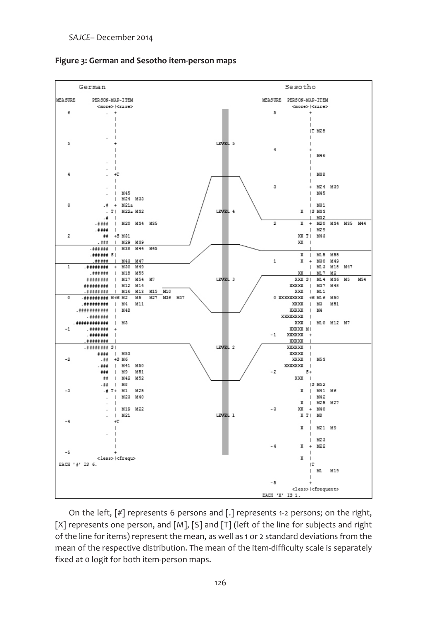

#### **Figure 3: German and Sesotho item-person maps**

On the left, [#] represents 6 persons and [.] represents 1-2 persons; on the right, [X] represents one person, and [M], [S] and [T] (left of the line for subjects and right of the line for items) represent the mean, as well as 1 or 2 standard deviations from the mean of the respective distribution. The mean of the item-difficulty scale is separately fixed at 0 logit for both item-person maps.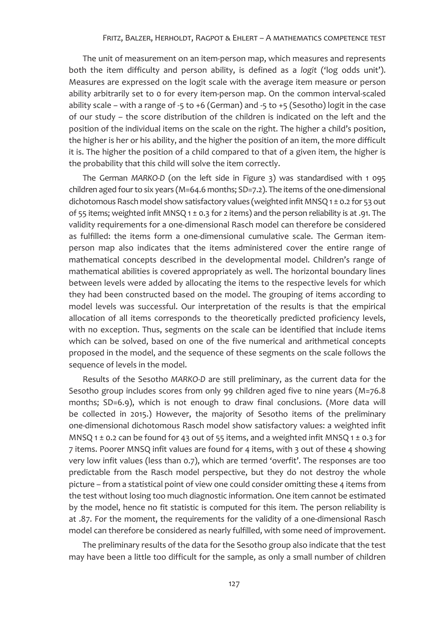The unit of measurement on an item-person map, which measures and represents both the item difficulty and person ability, is defined as a *logit* ('log odds unit'). Measures are expressed on the logit scale with the average item measure or person ability arbitrarily set to 0 for every item-person map. On the common interval-scaled ability scale – with a range of -5 to +6 (German) and -5 to +5 (Sesotho) logit in the case of our study – the score distribution of the children is indicated on the left and the position of the individual items on the scale on the right. The higher a child's position, the higher is her or his ability, and the higher the position of an item, the more difficult it is. The higher the position of a child compared to that of a given item, the higher is the probability that this child will solve the item correctly.

The German *MARKO-D* (on the left side in Figure 3) was standardised with 1 095 children aged four to six years (M=64.6 months; SD=7.2). The items of the one-dimensional dichotomous Rasch model show satisfactory values (weighted infit MNSQ 1 ± 0.2 for 53 out of 55 items; weighted infit MNSQ  $1 \pm 0.3$  for 2 items) and the person reliability is at .91. The validity requirements for a one-dimensional Rasch model can therefore be considered as fulfilled: the items form a one-dimensional cumulative scale. The German itemperson map also indicates that the items administered cover the entire range of mathematical concepts described in the developmental model. Children's range of mathematical abilities is covered appropriately as well. The horizontal boundary lines between levels were added by allocating the items to the respective levels for which they had been constructed based on the model. The grouping of items according to model levels was successful. Our interpretation of the results is that the empirical allocation of all items corresponds to the theoretically predicted proficiency levels, with no exception. Thus, segments on the scale can be identified that include items which can be solved, based on one of the five numerical and arithmetical concepts proposed in the model, and the sequence of these segments on the scale follows the sequence of levels in the model.

Results of the Sesotho *MARKO-D* are still preliminary, as the current data for the Sesotho group includes scores from only 99 children aged five to nine years (M=76.8 months; SD=6.9), which is not enough to draw final conclusions. (More data will be collected in 2015.) However, the majority of Sesotho items of the preliminary one-dimensional dichotomous Rasch model show satisfactory values: a weighted infit MNSQ 1  $\pm$  0.2 can be found for 43 out of 55 items, and a weighted infit MNSQ 1  $\pm$  0.3 for 7 items. Poorer MNSQ infit values are found for 4 items, with 3 out of these 4 showing very low infit values (less than 0.7), which are termed 'overfit'. The responses are too predictable from the Rasch model perspective, but they do not destroy the whole picture – from a statistical point of view one could consider omitting these 4 items from the test without losing too much diagnostic information. One item cannot be estimated by the model, hence no fit statistic is computed for this item. The person reliability is at .87. For the moment, the requirements for the validity of a one-dimensional Rasch model can therefore be considered as nearly fulfilled, with some need of improvement.

The preliminary results of the data for the Sesotho group also indicate that the test may have been a little too difficult for the sample, as only a small number of children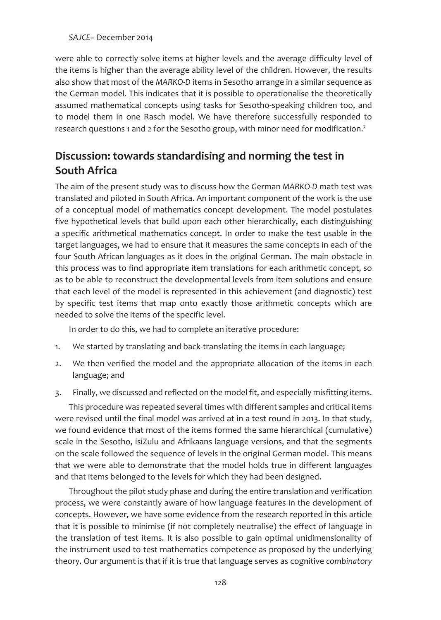were able to correctly solve items at higher levels and the average difficulty level of the items is higher than the average ability level of the children. However, the results also show that most of the *MARKO-D* items in Sesotho arrange in a similar sequence as the German model. This indicates that it is possible to operationalise the theoretically assumed mathematical concepts using tasks for Sesotho-speaking children too, and to model them in one Rasch model. We have therefore successfully responded to research questions 1 and 2 for the Sesotho group, with minor need for modification.<sup>7</sup>

# **Discussion: towards standardising and norming the test in South Africa**

The aim of the present study was to discuss how the German *MARKO-D* math test was translated and piloted in South Africa. An important component of the work is the use of a conceptual model of mathematics concept development. The model postulates five hypothetical levels that build upon each other hierarchically, each distinguishing a specific arithmetical mathematics concept. In order to make the test usable in the target languages, we had to ensure that it measures the same concepts in each of the four South African languages as it does in the original German. The main obstacle in this process was to find appropriate item translations for each arithmetic concept, so as to be able to reconstruct the developmental levels from item solutions and ensure that each level of the model is represented in this achievement (and diagnostic) test by specific test items that map onto exactly those arithmetic concepts which are needed to solve the items of the specific level.

In order to do this, we had to complete an iterative procedure:

- 1. We started by translating and back-translating the items in each language;
- 2. We then verified the model and the appropriate allocation of the items in each language; and
- 3. Finally, we discussed and reflected on the model fit, and especially misfitting items.

This procedure was repeated several times with different samples and critical items were revised until the final model was arrived at in a test round in 2013. In that study, we found evidence that most of the items formed the same hierarchical (cumulative) scale in the Sesotho, isiZulu and Afrikaans language versions, and that the segments on the scale followed the sequence of levels in the original German model. This means that we were able to demonstrate that the model holds true in different languages and that items belonged to the levels for which they had been designed.

Throughout the pilot study phase and during the entire translation and verification process, we were constantly aware of how language features in the development of concepts. However, we have some evidence from the research reported in this article that it is possible to minimise (if not completely neutralise) the effect of language in the translation of test items. It is also possible to gain optimal unidimensionality of the instrument used to test mathematics competence as proposed by the underlying theory. Our argument is that if it is true that language serves as cognitive *combinatory*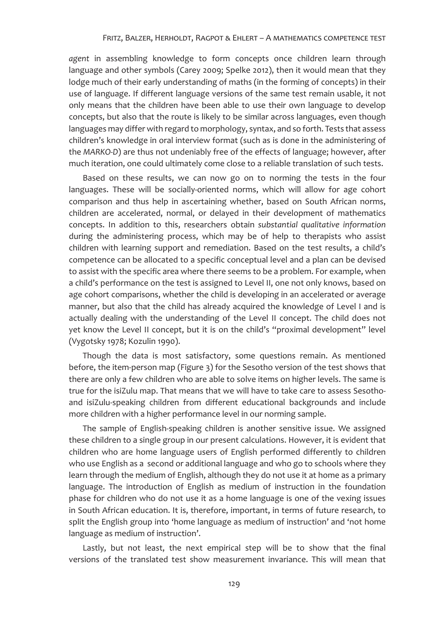*agent* in assembling knowledge to form concepts once children learn through language and other symbols (Carey 2009; Spelke 2012), then it would mean that they lodge much of their early understanding of maths (in the forming of concepts) in their use of language. If different language versions of the same test remain usable, it not only means that the children have been able to use their own language to develop concepts, but also that the route is likely to be similar across languages, even though languages may differ with regard to morphology, syntax, and so forth. Tests that assess children's knowledge in oral interview format (such as is done in the administering of the *MARKO-D*) are thus not undeniably free of the effects of language; however, after much iteration, one could ultimately come close to a reliable translation of such tests.

Based on these results, we can now go on to norming the tests in the four languages. These will be socially-oriented norms, which will allow for age cohort comparison and thus help in ascertaining whether, based on South African norms, children are accelerated, normal, or delayed in their development of mathematics concepts. In addition to this, researchers obtain *substantial qualitative information* during the administering process, which may be of help to therapists who assist children with learning support and remediation. Based on the test results, a child's competence can be allocated to a specific conceptual level and a plan can be devised to assist with the specific area where there seems to be a problem. For example, when a child's performance on the test is assigned to Level II, one not only knows, based on age cohort comparisons, whether the child is developing in an accelerated or average manner, but also that the child has already acquired the knowledge of Level I and is actually dealing with the understanding of the Level II concept. The child does not yet know the Level II concept, but it is on the child's "proximal development" level (Vygotsky 1978; Kozulin 1990).

Though the data is most satisfactory, some questions remain. As mentioned before, the item-person map (Figure 3) for the Sesotho version of the test shows that there are only a few children who are able to solve items on higher levels. The same is true for the isiZulu map. That means that we will have to take care to assess Sesothoand isiZulu-speaking children from different educational backgrounds and include more children with a higher performance level in our norming sample.

The sample of English-speaking children is another sensitive issue. We assigned these children to a single group in our present calculations. However, it is evident that children who are home language users of English performed differently to children who use English as a second or additional language and who go to schools where they learn through the medium of English, although they do not use it at home as a primary language. The introduction of English as medium of instruction in the foundation phase for children who do not use it as a home language is one of the vexing issues in South African education. It is, therefore, important, in terms of future research, to split the English group into 'home language as medium of instruction' and 'not home language as medium of instruction'.

Lastly, but not least, the next empirical step will be to show that the final versions of the translated test show measurement invariance. This will mean that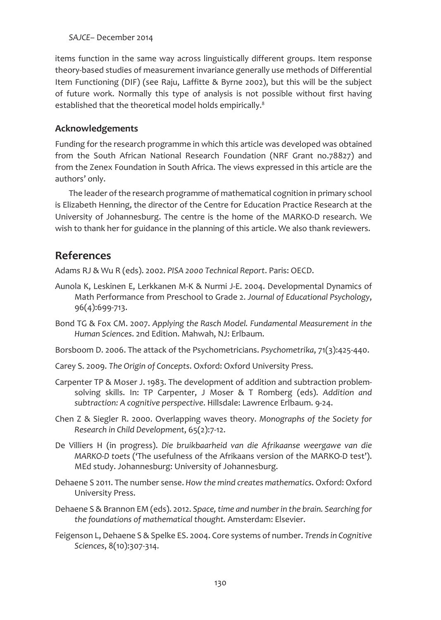items function in the same way across linguistically different groups. Item response theory-based studies of measurement invariance generally use methods of Differential Item Functioning (DIF) (see Raju, Laffitte & Byrne 2002), but this will be the subject of future work. Normally this type of analysis is not possible without first having established that the theoretical model holds empirically.<sup>8</sup>

### **Acknowledgements**

Funding for the research programme in which this article was developed was obtained from the South African National Research Foundation (NRF Grant no.78827) and from the Zenex Foundation in South Africa. The views expressed in this article are the authors' only.

The leader of the research programme of mathematical cognition in primary school is Elizabeth Henning, the director of the Centre for Education Practice Research at the University of Johannesburg. The centre is the home of the MARKO-D research. We wish to thank her for guidance in the planning of this article. We also thank reviewers.

# **References**

Adams RJ & Wu R (eds). 2002. *PISA 2000 Technical Report*. Paris: OECD.

- Aunola K, Leskinen E, Lerkkanen M-K & Nurmi J-E. 2004. Developmental Dynamics of Math Performance from Preschool to Grade 2. *Journal of Educational Psychology*, 96(4):699-713.
- Bond TG & Fox CM. 2007. *Applying the Rasch Model. Fundamental Measurement in the Human Sciences*. 2nd Edition. Mahwah, NJ: Erlbaum.
- Borsboom D. 2006. The attack of the Psychometricians. *Psychometrika*, 71(3):425-440.
- Carey S. 2009. *The Origin of Concepts*. Oxford: Oxford University Press.
- Carpenter TP & Moser J. 1983. The development of addition and subtraction problemsolving skills. In: TP Carpenter, J Moser & T Romberg (eds). *Addition and subtraction: A cognitive perspective*. Hillsdale: Lawrence Erlbaum. 9-24.
- Chen Z & Siegler R. 2000. Overlapping waves theory. *Monographs of the Society for Research in Child Development*, 65(2):7-12.
- De Villiers H (in progress). *Die bruikbaarheid van die Afrikaanse weergawe van die MARKO-D toets* ('The usefulness of the Afrikaans version of the MARKO-D test'). MEd study. Johannesburg: University of Johannesburg.
- Dehaene S 2011. The number sense. *How the mind creates mathematics*. Oxford: Oxford University Press.
- Dehaene S & Brannon EM (eds). 2012. *Space, time and number in the brain. Searching for the foundations of mathematical thought.* Amsterdam: Elsevier.
- Feigenson L, Dehaene S & Spelke ES. 2004. Core systems of number. *Trends in Cognitive Sciences*, 8(10):307-314.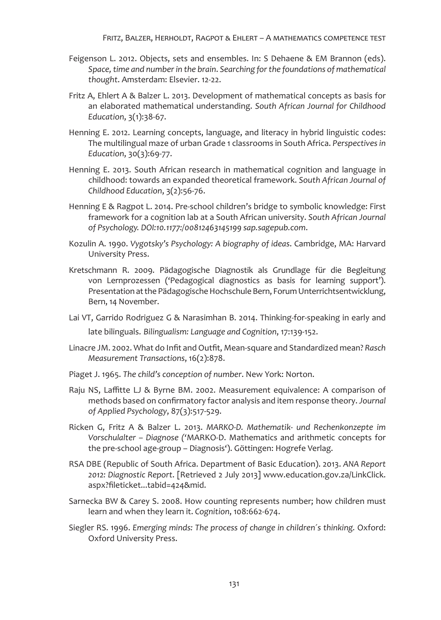- Feigenson L. 2012. Objects, sets and ensembles. In: S Dehaene & EM Brannon (eds). *Space, time and number in the brain*. *Searching for the foundations of mathematical thought*. Amsterdam: Elsevier. 12-22.
- Fritz A, Ehlert A & Balzer L. 2013. Development of mathematical concepts as basis for an elaborated mathematical understanding. *South African Journal for Childhood Education*, 3(1):38-67.
- Henning E. 2012. Learning concepts, language, and literacy in hybrid linguistic codes: The multilingual maze of urban Grade 1 classrooms in South Africa. *Perspectives in Education*, 30(3):69-77.
- Henning E. 2013. South African research in mathematical cognition and language in childhood: towards an expanded theoretical framework. *South African Journal of Childhood Education*, 3(2):56-76.
- Henning E & Ragpot L. 2014. Pre-school children's bridge to symbolic knowledge: First framework for a cognition lab at a South African university. *South African Journal of Psychology. DOI:10.1177:/00812463145199 sap.sagepub.com*.
- Kozulin A. 1990. *Vygotsky's Psychology: A biography of ideas*. Cambridge, MA: Harvard University Press.
- Kretschmann R. 2009. Pädagogische Diagnostik als Grundlage für die Begleitung von Lernprozessen ('Pedagogical diagnostics as basis for learning support'). Presentation at the Pädagogische Hochschule Bern, Forum Unterrichtsentwicklung, Bern, 14 November.
- Lai VT, Garrido Rodriguez G & Narasimhan B. 2014. Thinking-for-speaking in early and late bilinguals. *Bilingualism: Language and Cognition*, 17:139-152.
- Linacre JM. 2002. What do Infit and Outfit, Mean-square and Standardized mean? *Rasch Measurement Transactions*, 16(2):878.
- Piaget J. 1965. *The child's conception of number*. New York: Norton.
- Raju NS, Laffitte LJ & Byrne BM. 2002. Measurement equivalence: A comparison of methods based on confirmatory factor analysis and item response theory. *Journal of Applied Psychology*, 87(3):517-529.
- Ricken G, Fritz A & Balzer L. 2013. *MARKO-D. Mathematik- und Rechenkonzepte im Vorschulalter – Diagnose ('*MARKO-D. Mathematics and arithmetic concepts for the pre-school age-group – Diagnosis'). Göttingen: Hogrefe Verlag.
- RSA DBE (Republic of South Africa. Department of Basic Education). 2013. *ANA Report 2012: Diagnostic Report*. [Retrieved 2 July 2013] www.education.gov.za/LinkClick. aspx?fileticket...tabid=424&mid.
- Sarnecka BW & Carey S. 2008. How counting represents number; how children must learn and when they learn it. *Cognition*, 108:662-674.
- Siegler RS. 1996. *Emerging minds: The process of change in children´s thinking.* Oxford: Oxford University Press.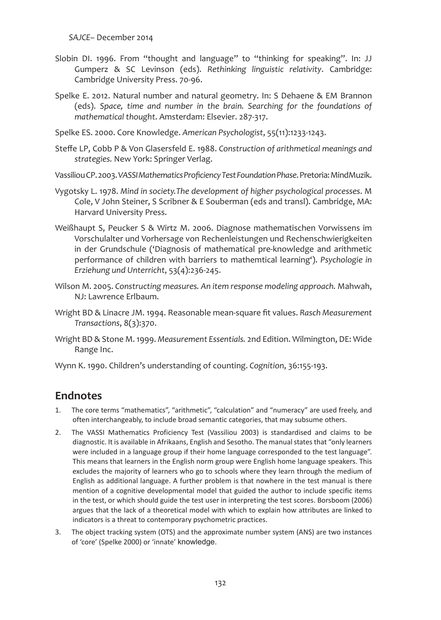- Slobin DI. 1996. From "thought and language" to "thinking for speaking". In: JJ Gumperz & SC Levinson (eds). *Rethinking linguistic relativity*. Cambridge: Cambridge University Press. 70-96.
- Spelke E. 2012. Natural number and natural geometry. In: S Dehaene & EM Brannon (eds). *Space, time and number in the brain. Searching for the foundations of mathematical thought*. Amsterdam: Elsevier. 287-317.
- Spelke ES. 2000. Core Knowledge. *American Psychologist*, 55(11):1233-1243.
- Steffe LP, Cobb P & Von Glasersfeld E. 1988. *Construction of arithmetical meanings and strategies.* New York: Springer Verlag.
- Vassiliou CP. 2003. *VASSI Mathematics Proficiency Test Foundation Phase*. Pretoria: MindMuzik.
- Vygotsky L. 1978. *Mind in society.The development of higher psychological processes*. M Cole, V John Steiner, S Scribner & E Souberman (eds and transl). Cambridge, MA: Harvard University Press.
- Weißhaupt S, Peucker S & Wirtz M. 2006. Diagnose mathematischen Vorwissens im Vorschulalter und Vorhersage von Rechenleistungen und Rechenschwierigkeiten in der Grundschule ('Diagnosis of mathematical pre-knowledge and arithmetic performance of children with barriers to mathemtical learning'). *Psychologie in Erziehung und Unterricht*, 53(4):236-245.
- Wilson M. 2005. *Constructing measures. An item response modeling approach.* Mahwah, NJ: Lawrence Erlbaum.
- Wright BD & Linacre JM. 1994. Reasonable mean-square fit values. *Rasch Measurement Transactions*, 8(3):370.
- Wright BD & Stone M. 1999. *Measurement Essentials.* 2nd Edition. Wilmington, DE: Wide Range Inc.

Wynn K. 1990. Children's understanding of counting. *Cognition*, 36:155-193.

# **Endnotes**

- 1. The core terms "mathematics", "arithmetic", "calculation" and "numeracy" are used freely, and often interchangeably, to include broad semantic categories, that may subsume others.
- 2. The VASSI Mathematics Proficiency Test (Vassiliou 2003) is standardised and claims to be diagnostic. It is available in Afrikaans, English and Sesotho. The manual states that "only learners were included in a language group if their home language corresponded to the test language". This means that learners in the English norm group were English home language speakers. This excludes the majority of learners who go to schools where they learn through the medium of English as additional language. A further problem is that nowhere in the test manual is there mention of a cognitive developmental model that guided the author to include specific items in the test, or which should guide the test user in interpreting the test scores. Borsboom (2006) argues that the lack of a theoretical model with which to explain how attributes are linked to indicators is a threat to contemporary psychometric practices.
- 3. The object tracking system (OTS) and the approximate number system (ANS) are two instances of 'core' (Spelke 2000) or 'innate' knowledge.